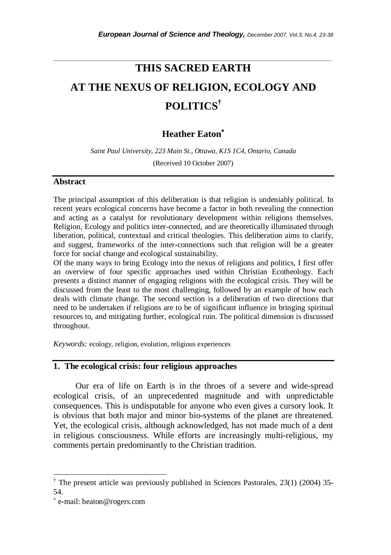# **THIS SACRED EARTH AT THE NEXUS OF RELIGION, ECOLOGY AND POLITICS†**

*\_\_\_\_\_\_\_\_\_\_\_\_\_\_\_\_\_\_\_\_\_\_\_\_\_\_\_\_\_\_\_\_\_\_\_\_\_\_\_\_\_\_\_\_\_\_\_\_\_\_\_\_\_\_\_\_\_\_\_\_\_\_\_\_\_\_\_\_\_\_\_* 

## **Heather Eaton**<sup>∗</sup>

*Saint Paul University, 223 Main St., Ottawa, K1S 1C4, Ontario, Canada*  (Received 10 October 2007)

#### **Abstract**

The principal assumption of this deliberation is that religion is undeniably political. In recent years ecological concerns have become a factor in both revealing the connection and acting as a catalyst for revolutionary development within religions themselves. Religion, Ecology and politics inter-connected, and are theoretically illuminated through liberation, political, contextual and critical theologies. This deliberation aims to clarify, and suggest, frameworks of the inter-connections such that religion will be a greater force for social change and ecological sustainability.

Of the many ways to bring Ecology into the nexus of religions and politics, I first offer an overview of four specific approaches used within Christian Ecotheology. Each presents a distinct manner of engaging religions with the ecological crisis. They will be discussed from the least to the most challenging, followed by an example of how each deals with climate change. The second section is a deliberation of two directions that need to be undertaken if religions are to be of significant influence in bringing spiritual resources to, and mitigating further, ecological ruin. The political dimension is discussed throughout.

*Keywords:* ecology, religion, evolution, religious experiences

#### **1. The ecological crisis: four religious approaches**

 Our era of life on Earth is in the throes of a severe and wide-spread ecological crisis, of an unprecedented magnitude and with unpredictable consequences. This is undisputable for anyone who even gives a cursory look. It is obvious that both major and minor bio-systems of the planet are threatened. Yet, the ecological crisis, although acknowledged, has not made much of a dent in religious consciousness. While efforts are increasingly multi-religious, my comments pertain predominantly to the Christian tradition.

-

<sup>†</sup> The present article was previously published in Sciences Pastorales, 23(1) (2004) 35- 54.

<sup>∗</sup> e-mail: heaton@rogers.com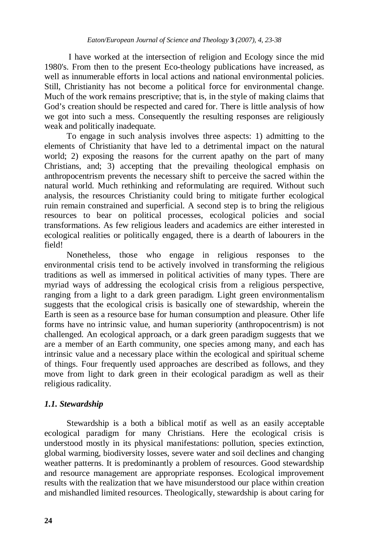I have worked at the intersection of religion and Ecology since the mid 1980's. From then to the present Eco-theology publications have increased, as well as innumerable efforts in local actions and national environmental policies. Still, Christianity has not become a political force for environmental change. Much of the work remains prescriptive; that is, in the style of making claims that God's creation should be respected and cared for. There is little analysis of how we got into such a mess. Consequently the resulting responses are religiously weak and politically inadequate.

 To engage in such analysis involves three aspects: 1) admitting to the elements of Christianity that have led to a detrimental impact on the natural world; 2) exposing the reasons for the current apathy on the part of many Christians, and; 3) accepting that the prevailing theological emphasis on anthropocentrism prevents the necessary shift to perceive the sacred within the natural world. Much rethinking and reformulating are required. Without such analysis, the resources Christianity could bring to mitigate further ecological ruin remain constrained and superficial. A second step is to bring the religious resources to bear on political processes, ecological policies and social transformations. As few religious leaders and academics are either interested in ecological realities or politically engaged, there is a dearth of labourers in the field!

 Nonetheless, those who engage in religious responses to the environmental crisis tend to be actively involved in transforming the religious traditions as well as immersed in political activities of many types. There are myriad ways of addressing the ecological crisis from a religious perspective, ranging from a light to a dark green paradigm. Light green environmentalism suggests that the ecological crisis is basically one of stewardship, wherein the Earth is seen as a resource base for human consumption and pleasure. Other life forms have no intrinsic value, and human superiority (anthropocentrism) is not challenged. An ecological approach, or a dark green paradigm suggests that we are a member of an Earth community, one species among many, and each has intrinsic value and a necessary place within the ecological and spiritual scheme of things. Four frequently used approaches are described as follows, and they move from light to dark green in their ecological paradigm as well as their religious radicality.

## *1.1. Stewardship*

 Stewardship is a both a biblical motif as well as an easily acceptable ecological paradigm for many Christians. Here the ecological crisis is understood mostly in its physical manifestations: pollution, species extinction, global warming, biodiversity losses, severe water and soil declines and changing weather patterns. It is predominantly a problem of resources. Good stewardship and resource management are appropriate responses. Ecological improvement results with the realization that we have misunderstood our place within creation and mishandled limited resources. Theologically, stewardship is about caring for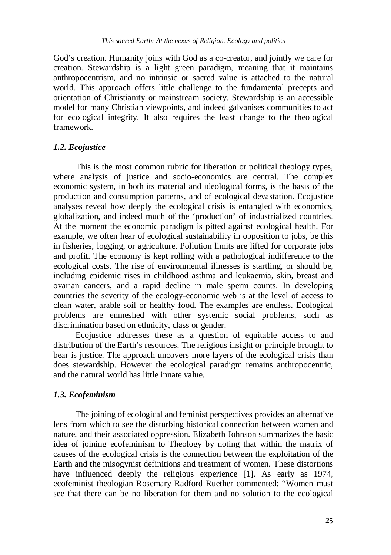God's creation. Humanity joins with God as a co-creator, and jointly we care for creation. Stewardship is a light green paradigm, meaning that it maintains anthropocentrism, and no intrinsic or sacred value is attached to the natural world. This approach offers little challenge to the fundamental precepts and orientation of Christianity or mainstream society. Stewardship is an accessible model for many Christian viewpoints, and indeed galvanises communities to act for ecological integrity. It also requires the least change to the theological framework.

## *1.2. Ecojustice*

 This is the most common rubric for liberation or political theology types, where analysis of justice and socio-economics are central. The complex economic system, in both its material and ideological forms, is the basis of the production and consumption patterns, and of ecological devastation. Ecojustice analyses reveal how deeply the ecological crisis is entangled with economics, globalization, and indeed much of the 'production' of industrialized countries. At the moment the economic paradigm is pitted against ecological health. For example, we often hear of ecological sustainability in opposition to jobs, be this in fisheries, logging, or agriculture. Pollution limits are lifted for corporate jobs and profit. The economy is kept rolling with a pathological indifference to the ecological costs. The rise of environmental illnesses is startling, or should be, including epidemic rises in childhood asthma and leukaemia, skin, breast and ovarian cancers, and a rapid decline in male sperm counts. In developing countries the severity of the ecology-economic web is at the level of access to clean water, arable soil or healthy food. The examples are endless. Ecological problems are enmeshed with other systemic social problems, such as discrimination based on ethnicity, class or gender.

 Ecojustice addresses these as a question of equitable access to and distribution of the Earth's resources. The religious insight or principle brought to bear is justice. The approach uncovers more layers of the ecological crisis than does stewardship. However the ecological paradigm remains anthropocentric, and the natural world has little innate value.

#### *1.3. Ecofeminism*

 The joining of ecological and feminist perspectives provides an alternative lens from which to see the disturbing historical connection between women and nature, and their associated oppression. Elizabeth Johnson summarizes the basic idea of joining ecofeminism to Theology by noting that within the matrix of causes of the ecological crisis is the connection between the exploitation of the Earth and the misogynist definitions and treatment of women. These distortions have influenced deeply the religious experience [1]. As early as 1974, ecofeminist theologian Rosemary Radford Ruether commented: "Women must see that there can be no liberation for them and no solution to the ecological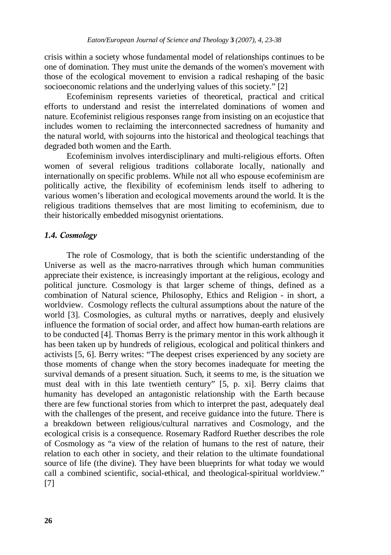crisis within a society whose fundamental model of relationships continues to be one of domination. They must unite the demands of the women's movement with those of the ecological movement to envision a radical reshaping of the basic socioeconomic relations and the underlying values of this society." [2]

 Ecofeminism represents varieties of theoretical, practical and critical efforts to understand and resist the interrelated dominations of women and nature. Ecofeminist religious responses range from insisting on an ecojustice that includes women to reclaiming the interconnected sacredness of humanity and the natural world, with sojourns into the historical and theological teachings that degraded both women and the Earth.

 Ecofeminism involves interdisciplinary and multi-religious efforts. Often women of several religious traditions collaborate locally, nationally and internationally on specific problems. While not all who espouse ecofeminism are politically active, the flexibility of ecofeminism lends itself to adhering to various women's liberation and ecological movements around the world. It is the religious traditions themselves that are most limiting to ecofeminism, due to their historically embedded misogynist orientations.

## *1.4. Cosmology*

 The role of Cosmology, that is both the scientific understanding of the Universe as well as the macro-narratives through which human communities appreciate their existence, is increasingly important at the religious, ecology and political juncture. Cosmology is that larger scheme of things, defined as a combination of Natural science, Philosophy, Ethics and Religion - in short, a worldview. Cosmology reflects the cultural assumptions about the nature of the world [3]. Cosmologies, as cultural myths or narratives, deeply and elusively influence the formation of social order, and affect how human-earth relations are to be conducted [4]. Thomas Berry is the primary mentor in this work although it has been taken up by hundreds of religious, ecological and political thinkers and activists [5, 6]. Berry writes: "The deepest crises experienced by any society are those moments of change when the story becomes inadequate for meeting the survival demands of a present situation. Such, it seems to me, is the situation we must deal with in this late twentieth century" [5, p. xi]. Berry claims that humanity has developed an antagonistic relationship with the Earth because there are few functional stories from which to interpret the past, adequately deal with the challenges of the present, and receive guidance into the future. There is a breakdown between religious/cultural narratives and Cosmology, and the ecological crisis is a consequence. Rosemary Radford Ruether describes the role of Cosmology as "a view of the relation of humans to the rest of nature, their relation to each other in society, and their relation to the ultimate foundational source of life (the divine). They have been blueprints for what today we would call a combined scientific, social-ethical, and theological-spiritual worldview." [7]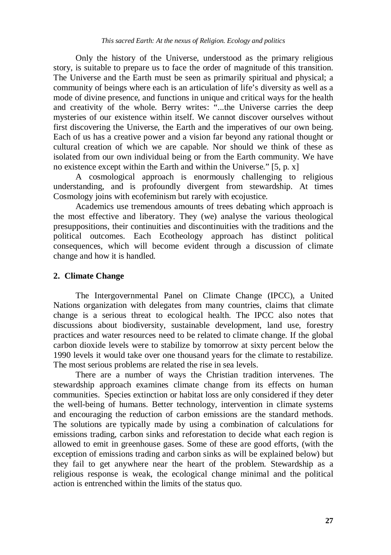Only the history of the Universe, understood as the primary religious story, is suitable to prepare us to face the order of magnitude of this transition. The Universe and the Earth must be seen as primarily spiritual and physical; a community of beings where each is an articulation of life's diversity as well as a mode of divine presence, and functions in unique and critical ways for the health and creativity of the whole. Berry writes: "...the Universe carries the deep mysteries of our existence within itself. We cannot discover ourselves without first discovering the Universe, the Earth and the imperatives of our own being. Each of us has a creative power and a vision far beyond any rational thought or cultural creation of which we are capable. Nor should we think of these as isolated from our own individual being or from the Earth community. We have no existence except within the Earth and within the Universe." [5, p. x]

 A cosmological approach is enormously challenging to religious understanding, and is profoundly divergent from stewardship. At times Cosmology joins with ecofeminism but rarely with ecojustice.

 Academics use tremendous amounts of trees debating which approach is the most effective and liberatory. They (we) analyse the various theological presuppositions, their continuities and discontinuities with the traditions and the political outcomes. Each Ecotheology approach has distinct political consequences, which will become evident through a discussion of climate change and how it is handled.

## **2. Climate Change**

 The Intergovernmental Panel on Climate Change (IPCC), a United Nations organization with delegates from many countries, claims that climate change is a serious threat to ecological health. The IPCC also notes that discussions about biodiversity, sustainable development, land use, forestry practices and water resources need to be related to climate change. If the global carbon dioxide levels were to stabilize by tomorrow at sixty percent below the 1990 levels it would take over one thousand years for the climate to restabilize. The most serious problems are related the rise in sea levels.

 There are a number of ways the Christian tradition intervenes. The stewardship approach examines climate change from its effects on human communities. Species extinction or habitat loss are only considered if they deter the well-being of humans. Better technology, intervention in climate systems and encouraging the reduction of carbon emissions are the standard methods. The solutions are typically made by using a combination of calculations for emissions trading, carbon sinks and reforestation to decide what each region is allowed to emit in greenhouse gases. Some of these are good efforts, (with the exception of emissions trading and carbon sinks as will be explained below) but they fail to get anywhere near the heart of the problem. Stewardship as a religious response is weak, the ecological change minimal and the political action is entrenched within the limits of the status quo.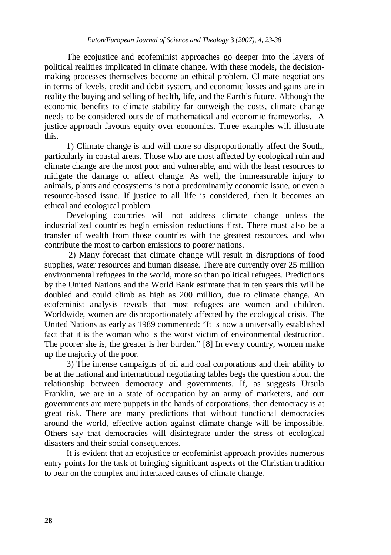The ecojustice and ecofeminist approaches go deeper into the layers of political realities implicated in climate change. With these models, the decisionmaking processes themselves become an ethical problem. Climate negotiations in terms of levels, credit and debit system, and economic losses and gains are in reality the buying and selling of health, life, and the Earth's future. Although the economic benefits to climate stability far outweigh the costs, climate change needs to be considered outside of mathematical and economic frameworks. A justice approach favours equity over economics. Three examples will illustrate this.

 1) Climate change is and will more so disproportionally affect the South, particularly in coastal areas. Those who are most affected by ecological ruin and climate change are the most poor and vulnerable, and with the least resources to mitigate the damage or affect change. As well, the immeasurable injury to animals, plants and ecosystems is not a predominantly economic issue, or even a resource-based issue. If justice to all life is considered, then it becomes an ethical and ecological problem.

 Developing countries will not address climate change unless the industrialized countries begin emission reductions first. There must also be a transfer of wealth from those countries with the greatest resources, and who contribute the most to carbon emissions to poorer nations.

 2) Many forecast that climate change will result in disruptions of food supplies, water resources and human disease. There are currently over 25 million environmental refugees in the world, more so than political refugees. Predictions by the United Nations and the World Bank estimate that in ten years this will be doubled and could climb as high as 200 million, due to climate change. An ecofeminist analysis reveals that most refugees are women and children. Worldwide, women are disproportionately affected by the ecological crisis. The United Nations as early as 1989 commented: "It is now a universally established fact that it is the woman who is the worst victim of environmental destruction. The poorer she is, the greater is her burden." [8] In every country, women make up the majority of the poor.

 3) The intense campaigns of oil and coal corporations and their ability to be at the national and international negotiating tables begs the question about the relationship between democracy and governments. If, as suggests Ursula Franklin, we are in a state of occupation by an army of marketers, and our governments are mere puppets in the hands of corporations, then democracy is at great risk. There are many predictions that without functional democracies around the world, effective action against climate change will be impossible. Others say that democracies will disintegrate under the stress of ecological disasters and their social consequences.

 It is evident that an ecojustice or ecofeminist approach provides numerous entry points for the task of bringing significant aspects of the Christian tradition to bear on the complex and interlaced causes of climate change.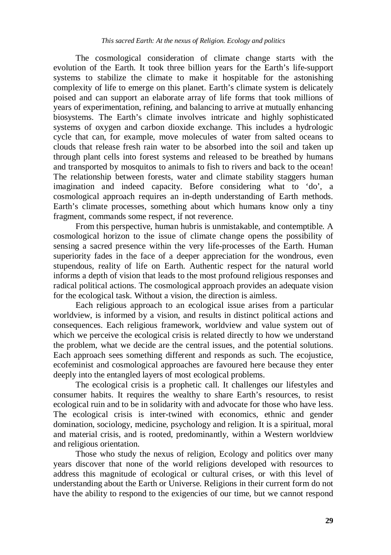The cosmological consideration of climate change starts with the evolution of the Earth. It took three billion years for the Earth's life-support systems to stabilize the climate to make it hospitable for the astonishing complexity of life to emerge on this planet. Earth's climate system is delicately poised and can support an elaborate array of life forms that took millions of years of experimentation, refining, and balancing to arrive at mutually enhancing biosystems. The Earth's climate involves intricate and highly sophisticated systems of oxygen and carbon dioxide exchange. This includes a hydrologic cycle that can, for example, move molecules of water from salted oceans to clouds that release fresh rain water to be absorbed into the soil and taken up through plant cells into forest systems and released to be breathed by humans and transported by mosquitos to animals to fish to rivers and back to the ocean! The relationship between forests, water and climate stability staggers human imagination and indeed capacity. Before considering what to 'do', a cosmological approach requires an in-depth understanding of Earth methods. Earth's climate processes, something about which humans know only a tiny fragment, commands some respect, if not reverence.

 From this perspective, human hubris is unmistakable, and contemptible. A cosmological horizon to the issue of climate change opens the possibility of sensing a sacred presence within the very life-processes of the Earth. Human superiority fades in the face of a deeper appreciation for the wondrous, even stupendous, reality of life on Earth. Authentic respect for the natural world informs a depth of vision that leads to the most profound religious responses and radical political actions. The cosmological approach provides an adequate vision for the ecological task. Without a vision, the direction is aimless.

 Each religious approach to an ecological issue arises from a particular worldview, is informed by a vision, and results in distinct political actions and consequences. Each religious framework, worldview and value system out of which we perceive the ecological crisis is related directly to how we understand the problem, what we decide are the central issues, and the potential solutions. Each approach sees something different and responds as such. The ecojustice, ecofeminist and cosmological approaches are favoured here because they enter deeply into the entangled layers of most ecological problems.

 The ecological crisis is a prophetic call. It challenges our lifestyles and consumer habits. It requires the wealthy to share Earth's resources, to resist ecological ruin and to be in solidarity with and advocate for those who have less. The ecological crisis is inter-twined with economics, ethnic and gender domination, sociology, medicine, psychology and religion. It is a spiritual, moral and material crisis, and is rooted, predominantly, within a Western worldview and religious orientation.

 Those who study the nexus of religion, Ecology and politics over many years discover that none of the world religions developed with resources to address this magnitude of ecological or cultural crises, or with this level of understanding about the Earth or Universe. Religions in their current form do not have the ability to respond to the exigencies of our time, but we cannot respond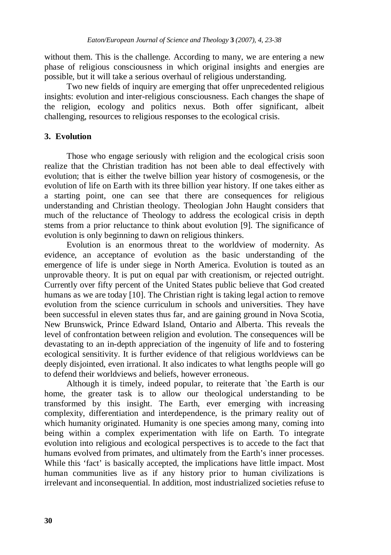without them. This is the challenge. According to many, we are entering a new phase of religious consciousness in which original insights and energies are possible, but it will take a serious overhaul of religious understanding.

 Two new fields of inquiry are emerging that offer unprecedented religious insights: evolution and inter-religious consciousness. Each changes the shape of the religion, ecology and politics nexus. Both offer significant, albeit challenging, resources to religious responses to the ecological crisis.

## **3. Evolution**

 Those who engage seriously with religion and the ecological crisis soon realize that the Christian tradition has not been able to deal effectively with evolution; that is either the twelve billion year history of cosmogenesis, or the evolution of life on Earth with its three billion year history. If one takes either as a starting point, one can see that there are consequences for religious understanding and Christian theology. Theologian John Haught considers that much of the reluctance of Theology to address the ecological crisis in depth stems from a prior reluctance to think about evolution [9]. The significance of evolution is only beginning to dawn on religious thinkers.

 Evolution is an enormous threat to the worldview of modernity. As evidence, an acceptance of evolution as the basic understanding of the emergence of life is under siege in North America. Evolution is touted as an unprovable theory. It is put on equal par with creationism, or rejected outright. Currently over fifty percent of the United States public believe that God created humans as we are today [10]. The Christian right is taking legal action to remove evolution from the science curriculum in schools and universities. They have been successful in eleven states thus far, and are gaining ground in Nova Scotia, New Brunswick, Prince Edward Island, Ontario and Alberta. This reveals the level of confrontation between religion and evolution. The consequences will be devastating to an in-depth appreciation of the ingenuity of life and to fostering ecological sensitivity. It is further evidence of that religious worldviews can be deeply disjointed, even irrational. It also indicates to what lengths people will go to defend their worldviews and beliefs, however erroneous.

 Although it is timely, indeed popular, to reiterate that `the Earth is our home, the greater task is to allow our theological understanding to be transformed by this insight. The Earth, ever emerging with increasing complexity, differentiation and interdependence, is the primary reality out of which humanity originated. Humanity is one species among many, coming into being within a complex experimentation with life on Earth. To integrate evolution into religious and ecological perspectives is to accede to the fact that humans evolved from primates, and ultimately from the Earth's inner processes. While this 'fact' is basically accepted, the implications have little impact. Most human communities live as if any history prior to human civilizations is irrelevant and inconsequential. In addition, most industrialized societies refuse to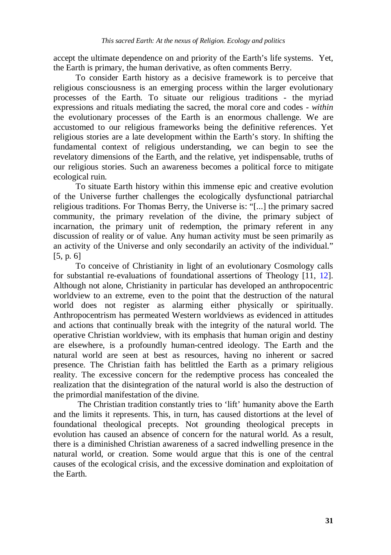accept the ultimate dependence on and priority of the Earth's life systems. Yet, the Earth is primary, the human derivative, as often comments Berry.

 To consider Earth history as a decisive framework is to perceive that religious consciousness is an emerging process within the larger evolutionary processes of the Earth. To situate our religious traditions - the myriad expressions and rituals mediating the sacred, the moral core and codes - *within* the evolutionary processes of the Earth is an enormous challenge. We are accustomed to our religious frameworks being the definitive references. Yet religious stories are a late development within the Earth's story. In shifting the fundamental context of religious understanding, we can begin to see the revelatory dimensions of the Earth, and the relative, yet indispensable, truths of our religious stories. Such an awareness becomes a political force to mitigate ecological ruin.

 To situate Earth history within this immense epic and creative evolution of the Universe further challenges the ecologically dysfunctional patriarchal religious traditions. For Thomas Berry, the Universe is: "[...] the primary sacred community, the primary revelation of the divine, the primary subject of incarnation, the primary unit of redemption, the primary referent in any discussion of reality or of value. Any human activity must be seen primarily as an activity of the Universe and only secondarily an activity of the individual." [5, p. 6]

 To conceive of Christianity in light of an evolutionary Cosmology calls for substantial re-evaluations of foundational assertions of Theology [11, 12]. Although not alone, Christianity in particular has developed an anthropocentric worldview to an extreme, even to the point that the destruction of the natural world does not register as alarming either physically or spiritually. Anthropocentrism has permeated Western worldviews as evidenced in attitudes and actions that continually break with the integrity of the natural world. The operative Christian worldview, with its emphasis that human origin and destiny are elsewhere, is a profoundly human-centred ideology. The Earth and the natural world are seen at best as resources, having no inherent or sacred presence. The Christian faith has belittled the Earth as a primary religious reality. The excessive concern for the redemptive process has concealed the realization that the disintegration of the natural world is also the destruction of the primordial manifestation of the divine.

 The Christian tradition constantly tries to 'lift' humanity above the Earth and the limits it represents. This, in turn, has caused distortions at the level of foundational theological precepts. Not grounding theological precepts in evolution has caused an absence of concern for the natural world. As a result, there is a diminished Christian awareness of a sacred indwelling presence in the natural world, or creation. Some would argue that this is one of the central causes of the ecological crisis, and the excessive domination and exploitation of the Earth.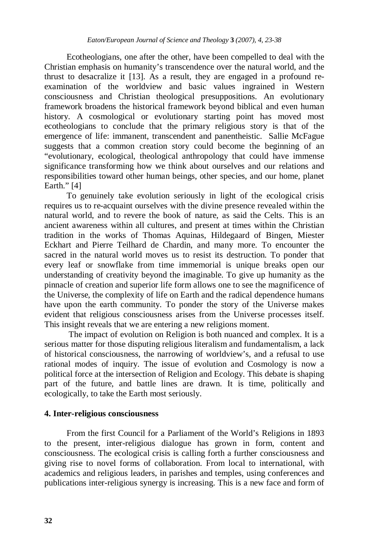Ecotheologians, one after the other, have been compelled to deal with the Christian emphasis on humanity's transcendence over the natural world, and the thrust to desacralize it [13]. As a result, they are engaged in a profound reexamination of the worldview and basic values ingrained in Western consciousness and Christian theological presuppositions. An evolutionary framework broadens the historical framework beyond biblical and even human history. A cosmological or evolutionary starting point has moved most ecotheologians to conclude that the primary religious story is that of the emergence of life: immanent, transcendent and panentheistic. Sallie McFague suggests that a common creation story could become the beginning of an "evolutionary, ecological, theological anthropology that could have immense significance transforming how we think about ourselves and our relations and responsibilities toward other human beings, other species, and our home, planet Earth." [4]

 To genuinely take evolution seriously in light of the ecological crisis requires us to re-acquaint ourselves with the divine presence revealed within the natural world, and to revere the book of nature, as said the Celts. This is an ancient awareness within all cultures, and present at times within the Christian tradition in the works of Thomas Aquinas, Hildegaard of Bingen, Miester Eckhart and Pierre Teilhard de Chardin, and many more. To encounter the sacred in the natural world moves us to resist its destruction. To ponder that every leaf or snowflake from time immemorial is unique breaks open our understanding of creativity beyond the imaginable. To give up humanity as the pinnacle of creation and superior life form allows one to see the magnificence of the Universe, the complexity of life on Earth and the radical dependence humans have upon the earth community. To ponder the story of the Universe makes evident that religious consciousness arises from the Universe processes itself. This insight reveals that we are entering a new religions moment.

 The impact of evolution on Religion is both nuanced and complex. It is a serious matter for those disputing religious literalism and fundamentalism, a lack of historical consciousness, the narrowing of worldview's, and a refusal to use rational modes of inquiry. The issue of evolution and Cosmology is now a political force at the intersection of Religion and Ecology. This debate is shaping part of the future, and battle lines are drawn. It is time, politically and ecologically, to take the Earth most seriously.

## **4. Inter-religious consciousness**

 From the first Council for a Parliament of the World's Religions in 1893 to the present, inter-religious dialogue has grown in form, content and consciousness. The ecological crisis is calling forth a further consciousness and giving rise to novel forms of collaboration. From local to international, with academics and religious leaders, in parishes and temples, using conferences and publications inter-religious synergy is increasing. This is a new face and form of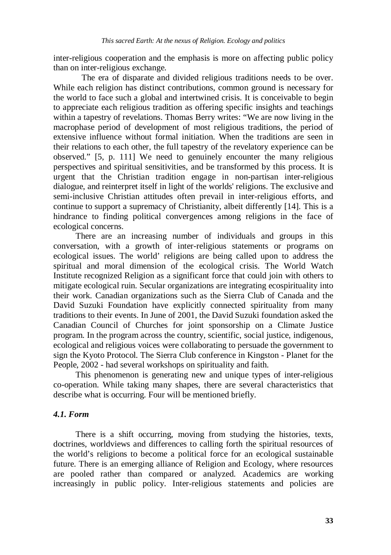inter-religious cooperation and the emphasis is more on affecting public policy than on inter-religious exchange.

 The era of disparate and divided religious traditions needs to be over. While each religion has distinct contributions, common ground is necessary for the world to face such a global and intertwined crisis. It is conceivable to begin to appreciate each religious tradition as offering specific insights and teachings within a tapestry of revelations. Thomas Berry writes: "We are now living in the macrophase period of development of most religious traditions, the period of extensive influence without formal initiation. When the traditions are seen in their relations to each other, the full tapestry of the revelatory experience can be observed." [5, p. 111] We need to genuinely encounter the many religious perspectives and spiritual sensitivities, and be transformed by this process. It is urgent that the Christian tradition engage in non-partisan inter-religious dialogue, and reinterpret itself in light of the worlds' religions. The exclusive and semi-inclusive Christian attitudes often prevail in inter-religious efforts, and continue to support a supremacy of Christianity, albeit differently [14]. This is a hindrance to finding political convergences among religions in the face of ecological concerns.

 There are an increasing number of individuals and groups in this conversation, with a growth of inter-religious statements or programs on ecological issues. The world' religions are being called upon to address the spiritual and moral dimension of the ecological crisis. The World Watch Institute recognized Religion as a significant force that could join with others to mitigate ecological ruin. Secular organizations are integrating ecospirituality into their work. Canadian organizations such as the Sierra Club of Canada and the David Suzuki Foundation have explicitly connected spirituality from many traditions to their events. In June of 2001, the David Suzuki foundation asked the Canadian Council of Churches for joint sponsorship on a Climate Justice program. In the program across the country, scientific, social justice, indigenous, ecological and religious voices were collaborating to persuade the government to sign the Kyoto Protocol. The Sierra Club conference in Kingston - Planet for the People, 2002 - had several workshops on spirituality and faith.

 This phenomenon is generating new and unique types of inter-religious co-operation. While taking many shapes, there are several characteristics that describe what is occurring. Four will be mentioned briefly.

## *4.1. Form*

 There is a shift occurring, moving from studying the histories, texts, doctrines, worldviews and differences to calling forth the spiritual resources of the world's religions to become a political force for an ecological sustainable future. There is an emerging alliance of Religion and Ecology, where resources are pooled rather than compared or analyzed. Academics are working increasingly in public policy. Inter-religious statements and policies are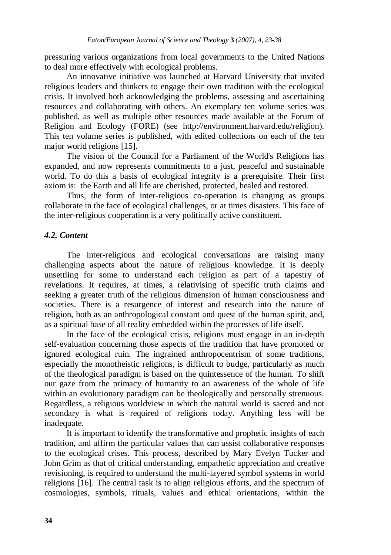pressuring various organizations from local governments to the United Nations to deal more effectively with ecological problems.

 An innovative initiative was launched at Harvard University that invited religious leaders and thinkers to engage their own tradition with the ecological crisis. It involved both acknowledging the problems, assessing and ascertaining resources and collaborating with others. An exemplary ten volume series was published, as well as multiple other resources made available at the Forum of Religion and Ecology (FORE) (see http://environment.harvard.edu/religion). This ten volume series is published, with edited collections on each of the ten major world religions [15].

 The vision of the Council for a Parliament of the World's Religions has expanded, and now represents commitments to a just, peaceful and sustainable world. To do this a basis of ecological integrity is a prerequisite. Their first axiom is: the Earth and all life are cherished, protected, healed and restored.

 Thus, the form of inter-religious co-operation is changing as groups collaborate in the face of ecological challenges, or at times disasters. This face of the inter-religious cooperation is a very politically active constituent.

## *4.2. Content*

 The inter-religious and ecological conversations are raising many challenging aspects about the nature of religious knowledge. It is deeply unsettling for some to understand each religion as part of a tapestry of revelations. It requires, at times, a relativising of specific truth claims and seeking a greater truth of the religious dimension of human consciousness and societies. There is a resurgence of interest and research into the nature of religion, both as an anthropological constant and quest of the human spirit, and, as a spiritual base of all reality embedded within the processes of life itself.

 In the face of the ecological crisis, religions must engage in an in-depth self-evaluation concerning those aspects of the tradition that have promoted or ignored ecological ruin. The ingrained anthropocentrism of some traditions, especially the monotheistic religions, is difficult to budge, particularly as much of the theological paradigm is based on the quintessence of the human. To shift our gaze from the primacy of humanity to an awareness of the whole of life within an evolutionary paradigm can be theologically and personally strenuous. Regardless, a religious worldview in which the natural world is sacred and not secondary is what is required of religions today. Anything less will be inadequate.

 It is important to identify the transformative and prophetic insights of each tradition, and affirm the particular values that can assist collaborative responses to the ecological crises. This process, described by Mary Evelyn Tucker and John Grim as that of critical understanding, empathetic appreciation and creative revisioning, is required to understand the multi-layered symbol systems in world religions [16]. The central task is to align religious efforts, and the spectrum of cosmologies, symbols, rituals, values and ethical orientations, within the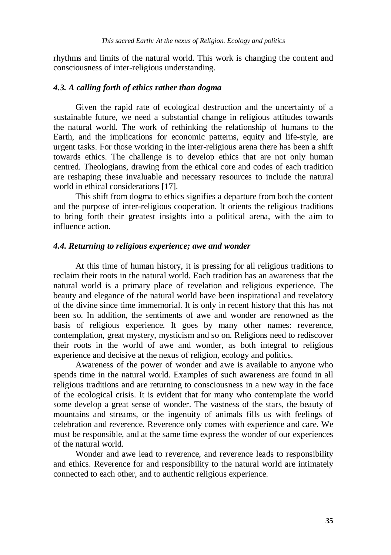rhythms and limits of the natural world. This work is changing the content and consciousness of inter-religious understanding.

#### *4.3. A calling forth of ethics rather than dogma*

 Given the rapid rate of ecological destruction and the uncertainty of a sustainable future, we need a substantial change in religious attitudes towards the natural world. The work of rethinking the relationship of humans to the Earth, and the implications for economic patterns, equity and life-style, are urgent tasks. For those working in the inter-religious arena there has been a shift towards ethics. The challenge is to develop ethics that are not only human centred. Theologians, drawing from the ethical core and codes of each tradition are reshaping these invaluable and necessary resources to include the natural world in ethical considerations [17].

 This shift from dogma to ethics signifies a departure from both the content and the purpose of inter-religious cooperation. It orients the religious traditions to bring forth their greatest insights into a political arena, with the aim to influence action.

#### *4.4. Returning to religious experience; awe and wonder*

 At this time of human history, it is pressing for all religious traditions to reclaim their roots in the natural world. Each tradition has an awareness that the natural world is a primary place of revelation and religious experience. The beauty and elegance of the natural world have been inspirational and revelatory of the divine since time immemorial. It is only in recent history that this has not been so. In addition, the sentiments of awe and wonder are renowned as the basis of religious experience. It goes by many other names: reverence, contemplation, great mystery, mysticism and so on. Religions need to rediscover their roots in the world of awe and wonder, as both integral to religious experience and decisive at the nexus of religion, ecology and politics.

 Awareness of the power of wonder and awe is available to anyone who spends time in the natural world. Examples of such awareness are found in all religious traditions and are returning to consciousness in a new way in the face of the ecological crisis. It is evident that for many who contemplate the world some develop a great sense of wonder. The vastness of the stars, the beauty of mountains and streams, or the ingenuity of animals fills us with feelings of celebration and reverence. Reverence only comes with experience and care. We must be responsible, and at the same time express the wonder of our experiences of the natural world.

 Wonder and awe lead to reverence, and reverence leads to responsibility and ethics. Reverence for and responsibility to the natural world are intimately connected to each other, and to authentic religious experience.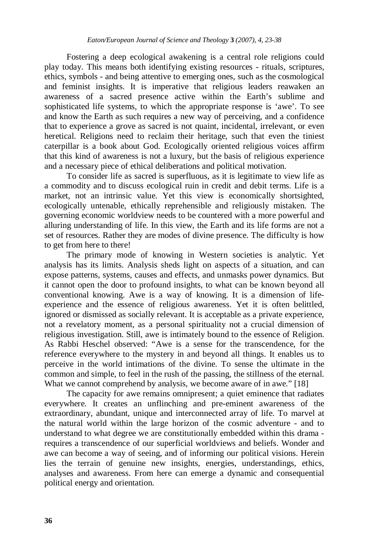Fostering a deep ecological awakening is a central role religions could play today. This means both identifying existing resources - rituals, scriptures, ethics, symbols - and being attentive to emerging ones, such as the cosmological and feminist insights. It is imperative that religious leaders reawaken an awareness of a sacred presence active within the Earth's sublime and sophisticated life systems, to which the appropriate response is 'awe'. To see and know the Earth as such requires a new way of perceiving, and a confidence that to experience a grove as sacred is not quaint, incidental, irrelevant, or even heretical. Religions need to reclaim their heritage, such that even the tiniest caterpillar is a book about God. Ecologically oriented religious voices affirm that this kind of awareness is not a luxury, but the basis of religious experience and a necessary piece of ethical deliberations and political motivation.

 To consider life as sacred is superfluous, as it is legitimate to view life as a commodity and to discuss ecological ruin in credit and debit terms. Life is a market, not an intrinsic value. Yet this view is economically shortsighted, ecologically untenable, ethically reprehensible and religiously mistaken. The governing economic worldview needs to be countered with a more powerful and alluring understanding of life. In this view, the Earth and its life forms are not a set of resources. Rather they are modes of divine presence. The difficulty is how to get from here to there!

 The primary mode of knowing in Western societies is analytic. Yet analysis has its limits. Analysis sheds light on aspects of a situation, and can expose patterns, systems, causes and effects, and unmasks power dynamics. But it cannot open the door to profound insights, to what can be known beyond all conventional knowing. Awe is a way of knowing. It is a dimension of lifeexperience and the essence of religious awareness. Yet it is often belittled, ignored or dismissed as socially relevant. It is acceptable as a private experience, not a revelatory moment, as a personal spirituality not a crucial dimension of religious investigation. Still, awe is intimately bound to the essence of Religion. As Rabbi Heschel observed: "Awe is a sense for the transcendence, for the reference everywhere to the mystery in and beyond all things. It enables us to perceive in the world intimations of the divine. To sense the ultimate in the common and simple, to feel in the rush of the passing, the stillness of the eternal. What we cannot comprehend by analysis, we become aware of in awe." [18]

 The capacity for awe remains omnipresent; a quiet eminence that radiates everywhere. It creates an unflinching and pre-eminent awareness of the extraordinary, abundant, unique and interconnected array of life. To marvel at the natural world within the large horizon of the cosmic adventure - and to understand to what degree we are constitutionally embedded within this drama requires a transcendence of our superficial worldviews and beliefs. Wonder and awe can become a way of seeing, and of informing our political visions. Herein lies the terrain of genuine new insights, energies, understandings, ethics, analyses and awareness. From here can emerge a dynamic and consequential political energy and orientation.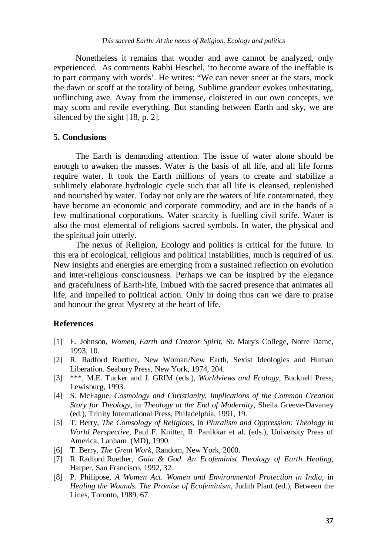Nonetheless it remains that wonder and awe cannot be analyzed, only experienced. As comments Rabbi Heschel, 'to become aware of the ineffable is to part company with words'. He writes: "We can never sneer at the stars, mock the dawn or scoff at the totality of being. Sublime grandeur evokes unhesitating, unflinching awe. Away from the immense, cloistered in our own concepts, we may scorn and revile everything. But standing between Earth and sky, we are silenced by the sight [18, p. 2].

#### **5. Conclusions**

 The Earth is demanding attention. The issue of water alone should be enough to awaken the masses. Water is the basis of all life, and all life forms require water. It took the Earth millions of years to create and stabilize a sublimely elaborate hydrologic cycle such that all life is cleansed, replenished and nourished by water. Today not only are the waters of life contaminated, they have become an economic and corporate commodity, and are in the hands of a few multinational corporations. Water scarcity is fuelling civil strife. Water is also the most elemental of religions sacred symbols. In water, the physical and the spiritual join utterly.

 The nexus of Religion, Ecology and politics is critical for the future. In this era of ecological, religious and political instabilities, much is required of us. New insights and energies are emerging from a sustained reflection on evolution and inter-religious consciousness. Perhaps we can be inspired by the elegance and gracefulness of Earth-life, imbued with the sacred presence that animates all life, and impelled to political action. Only in doing thus can we dare to praise and honour the great Mystery at the heart of life.

#### **References**

- [1] E. Johnson, *Women, Earth and Creator Spirit*, St. Mary's College, Notre Dame, 1993, 10.
- [2] R. Radford Ruether, New Woman/New Earth, Sexist Ideologies and Human Liberation. Seabury Press, New York, 1974, 204.
- [3] \*\*\*, M.E. Tucker and J. GRIM (eds.), *Worldviews and Ecology*, Bucknell Press, Lewisburg, 1993.
- [4] S. McFague, *Cosmology and Christianity, Implications of the Common Creation Story for Theology*, in *Theology at the End of Modernity*, Sheila Greeve-Davaney (ed.), Trinity International Press, Philadelphia, 1991, 19.
- [5] T. Berry, *The Comsology of Religions*, in *Pluralism and Oppression: Theology in World Perspective*, Paul F. Knitter, R. Panikkar et al. (eds.), University Press of America, Lanham (MD), 1990.
- [6] T. Berry, *The Great Work*, Random, New York, 2000.
- [7] R. Radford Ruether, *Gaia & God. An Ecofeminist Theology of Earth Healing*, Harper, San Francisco, 1992, 32.
- [8] P. Philipose, *A Women Act. Women and Environmental Protection in India*, in *Healing the Wounds. The Promise of Ecofeminism*, Judith Plant (ed.), Between the Lines, Toronto, 1989, 67.